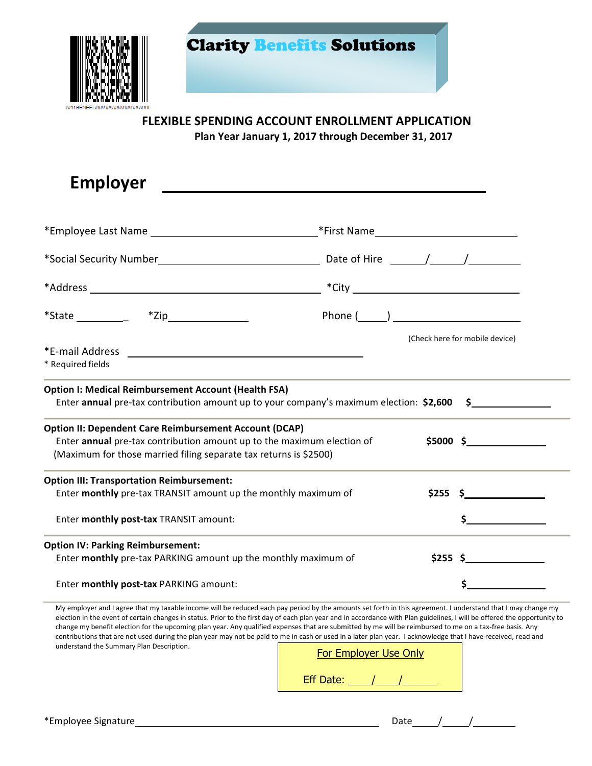

Clarity Benefits Solutions

## **FLEXIBLE SPENDING ACCOUNT ENROLLMENT APPLICATION**

**Plan Year January 1, 2017 through December 31, 2017**

| <b>Employer</b>                                                                                                                                                                                                                                                                                                                                                                                                          |                                                                                                   |
|--------------------------------------------------------------------------------------------------------------------------------------------------------------------------------------------------------------------------------------------------------------------------------------------------------------------------------------------------------------------------------------------------------------------------|---------------------------------------------------------------------------------------------------|
|                                                                                                                                                                                                                                                                                                                                                                                                                          |                                                                                                   |
|                                                                                                                                                                                                                                                                                                                                                                                                                          |                                                                                                   |
| *Social Security Number <b>Example 2018</b>                                                                                                                                                                                                                                                                                                                                                                              | Date of Hire $\frac{1}{\sqrt{1-\frac{1}{2}}}\left\vert \frac{1}{\sqrt{1-\frac{1}{2}}}\right\vert$ |
|                                                                                                                                                                                                                                                                                                                                                                                                                          |                                                                                                   |
| *State $\frac{1}{\sqrt{1-\frac{1}{2}}}\frac{1}{\sqrt{1-\frac{1}{2}}}\frac{1}{\sqrt{1-\frac{1}{2}}}\frac{1}{\sqrt{1-\frac{1}{2}}}\frac{1}{\sqrt{1-\frac{1}{2}}}\frac{1}{\sqrt{1-\frac{1}{2}}}\frac{1}{\sqrt{1-\frac{1}{2}}}\frac{1}{\sqrt{1-\frac{1}{2}}}\frac{1}{\sqrt{1-\frac{1}{2}}}\frac{1}{\sqrt{1-\frac{1}{2}}}\frac{1}{\sqrt{1-\frac{1}{2}}}\frac{1}{\sqrt{1-\frac{1}{2}}}\frac{1}{\sqrt{1-\frac{1}{2}}}\frac{1}{$ | Phone $(\_\_)$                                                                                    |
|                                                                                                                                                                                                                                                                                                                                                                                                                          | (Check here for mobile device)                                                                    |
| * Required fields                                                                                                                                                                                                                                                                                                                                                                                                        |                                                                                                   |
| <b>Option I: Medical Reimbursement Account (Health FSA)</b><br>Enter annual pre-tax contribution amount up to your company's maximum election: $$2,600$ $$$                                                                                                                                                                                                                                                              |                                                                                                   |
| <b>Option II: Dependent Care Reimbursement Account (DCAP)</b><br>Enter annual pre-tax contribution amount up to the maximum election of<br>(Maximum for those married filing separate tax returns is \$2500)                                                                                                                                                                                                             | $$5000 \t$$                                                                                       |
| <b>Option III: Transportation Reimbursement:</b>                                                                                                                                                                                                                                                                                                                                                                         |                                                                                                   |
| Enter monthly pre-tax TRANSIT amount up the monthly maximum of                                                                                                                                                                                                                                                                                                                                                           | \$255S                                                                                            |
| Enter monthly post-tax TRANSIT amount:                                                                                                                                                                                                                                                                                                                                                                                   |                                                                                                   |
| <b>Option IV: Parking Reimbursement:</b>                                                                                                                                                                                                                                                                                                                                                                                 |                                                                                                   |
| Enter monthly pre-tax PARKING amount up the monthly maximum of                                                                                                                                                                                                                                                                                                                                                           | $$255 \S$                                                                                         |
| Enter monthly post-tax PARKING amount:                                                                                                                                                                                                                                                                                                                                                                                   |                                                                                                   |

My employer and I agree that my taxable income will be reduced each pay period by the amounts set forth in this agreement. I understand that I may change my election in the event of certain changes in status. Prior to the first day of each plan year and in accordance with Plan guidelines, I will be offered the opportunity to change my benefit election for the upcoming plan year. Any qualified expenses that are submitted by me will be reimbursed to me on a tax-free basis. Any contributions that are not used during the plan year may not be paid to me in cash or used in a later plan year. I acknowledge that I have received, read and understand the Summary Plan Description.

| For Employer Use Only |  |  |  |  |
|-----------------------|--|--|--|--|
| <b>Eff Date:</b>      |  |  |  |  |